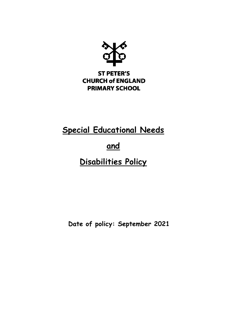

**ST PETER'S CHURCH of ENGLAND PRIMARY SCHOOL** 

# **Special Educational Needs**

**and** 

**Disabilities Policy** 

**Date of policy: September 2021**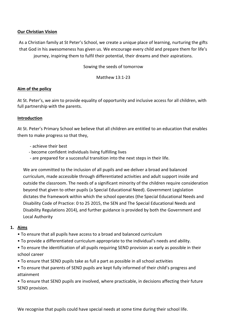#### **Our Christian Vision**

As a Christian family at St Peter's School, we create a unique place of learning, nurturing the gifts that God in his awesomeness has given us. We encourage every child and prepare them for life's journey, inspiring them to fulfil their potential, their dreams and their aspirations.

Sowing the seeds of tomorrow

Matthew 13:1-23

#### **Aim of the policy**

At St. Peter's, we aim to provide equality of opportunity and inclusive access for all children, with full partnership with the parents.

#### **Introduction**

At St. Peter's Primary School we believe that all children are entitled to an education that enables them to make progress so that they,

- achieve their best
- become confident individuals living fulfilling lives
- are prepared for a successful transition into the next steps in their life.

We are committed to the inclusion of all pupils and we deliver a broad and balanced curriculum, made accessible through differentiated activities and adult support inside and outside the classroom. The needs of a significant minority of the children require consideration beyond that given to other pupils (a Special Educational Need). Government Legislation dictates the framework within which the school operates (the Special Educational Needs and Disability Code of Practice: 0 to 25 2015, the SEN and The Special Educational Needs and Disability Regulations 2014), and further guidance is provided by both the Government and Local Authority

#### **1. Aims**

- To ensure that all pupils have access to a broad and balanced curriculum
- To provide a differentiated curriculum appropriate to the individual's needs and ability.
- To ensure the identification of all pupils requiring SEND provision as early as possible in their school career
- To ensure that SEND pupils take as full a part as possible in all school activities
- To ensure that parents of SEND pupils are kept fully informed of their child's progress and attainment

• To ensure that SEND pupils are involved, where practicable, in decisions affecting their future SEND provision.

We recognise that pupils could have special needs at some time during their school life.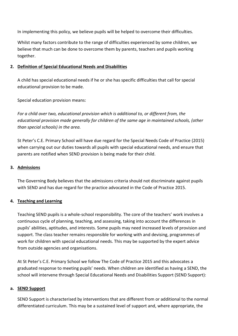In implementing this policy, we believe pupils will be helped to overcome their difficulties.

Whilst many factors contribute to the range of difficulties experienced by some children, we believe that much can be done to overcome them by parents, teachers and pupils working together.

## **2. Definition of Special Educational Needs and Disabilities**

A child has special educational needs if he or she has specific difficulties that call for special educational provision to be made.

Special education provision means:

*For a child over two, educational provision which is additional to, or different from, the educational provision made generally for children of the same age in maintained schools, (other than special schools) in the area.* 

St Peter's C.E. Primary School will have due regard for the Special Needs Code of Practice (2015) when carrying out our duties towards all pupils with special educational needs, and ensure that parents are notified when SEND provision is being made for their child.

# **3. Admissions**

The Governing Body believes that the admissions criteria should not discriminate against pupils with SEND and has due regard for the practice advocated in the Code of Practice 2015.

#### **4. Teaching and Learning**

Teaching SEND pupils is a whole-school responsibility. The core of the teachers' work involves a continuous cycle of planning, teaching, and assessing, taking into account the differences in pupils' abilities, aptitudes, and interests. Some pupils may need increased levels of provision and support. The class teacher remains responsible for working with and devising, programmes of work for children with special educational needs. This may be supported by the expert advice from outside agencies and organisations.

At St Peter's C.E. Primary School we follow The Code of Practice 2015 and this advocates a graduated response to meeting pupils' needs. When children are identified as having a SEND, the school will intervene through Special Educational Needs and Disabilities Support (SEND Support):

#### **a. SEND Support**

SEND Support is characterised by interventions that are different from or additional to the normal differentiated curriculum. This may be a sustained level of support and, where appropriate, the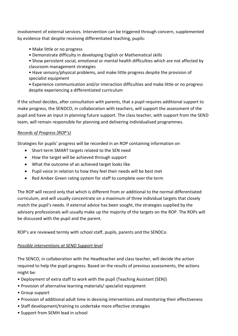involvement of external services. Intervention can be triggered through concern, supplemented by evidence that despite receiving differentiated teaching, pupils:

- Make little or no progress
- Demonstrate difficulty in developing English or Mathematical skills
- Show persistent social, emotional or mental health difficulties which are not affected by classroom management strategies
- Have sensory/physical problems, and make little progress despite the provision of specialist equipment
- Experience communication and/or interaction difficulties and make little or no progress despite experiencing a differentiated curriculum

If the school decides, after consultation with parents, that a pupil requires additional support to make progress, the SENDCO, in collaboration with teachers, will support the assessment of the pupil and have an input in planning future support. The class teacher, with support from the SEND team, will remain responsible for planning and delivering individualised programmes.

## *Records of Progress (ROP's)*

Strategies for pupils' progress will be recorded in an ROP containing information on

- Short-term SMART targets related to the SEN need
- How the target will be achieved through support
- What the outcome of an achieved target looks like
- Pupil voice in relation to how they feel their needs will be best met
- Red Amber Green rating system for staff to complete over the term

The ROP will record only that which is different from or additional to the normal differentiated curriculum, and will usually concentrate on a maximum of three individual targets that closely match the pupil's needs. If external advice has been sought, the strategies supplied by the advisory professionals will usually make up the majority of the targets on the ROP. The ROPs will be discussed with the pupil and the parent.

ROP's are reviewed termly with school staff, pupils, parents and the SENDCo.

#### *Possible interventions at SEND Support level*

The SENCO, in collaboration with the Headteacher and class teacher, will decide the action required to help the pupil progress. Based on the results of previous assessments, the actions might be:

- Deployment of extra staff to work with the pupil (Teaching Assistant (SEN))
- Provision of alternative learning materials/ specialist equipment
- Group support
- Provision of additional adult time in devising interventions and monitoring their effectiveness
- Staff development/training to undertake more effective strategies
- Support from SEMH lead in school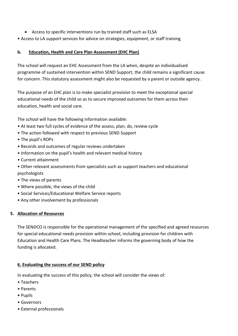- Access to specific interventions run by trained staff such as ELSA
- Access to LA support services for advice on strategies, equipment, or staff training

## **b. Education, Health and Care Plan Assessment (EHC Plan)**

The school will request an EHC Assessment from the LA when, despite an individualised programme of sustained intervention within SEND Support, the child remains a significant cause for concern. This statutory assessment might also be requested by a parent or outside agency.

The purpose of an EHC plan is to make specialist provision to meet the exceptional special educational needs of the child so as to secure improved outcomes for them across their education, health and social care.

The school will have the following information available:

- At least two full cycles of evidence of the assess, plan, do, review cycle
- The action followed with respect to previous SEND Support
- The pupil's ROPs
- Records and outcomes of regular reviews undertaken
- Information on the pupil's health and relevant medical history
- Current attainment
- Other relevant assessments from specialists such as support teachers and educational psychologists
- The views of parents
- Where possible, the views of the child
- Social Services/Educational Welfare Service reports
- Any other involvement by professionals

#### **5. Allocation of Resources**

The SENDCO is responsible for the operational management of the specified and agreed resources for special educational needs provision within school, including provision for children with Education and Health Care Plans. The Headteacher informs the governing body of how the funding is allocated.

#### **6. Evaluating the success of our SEND policy**

In evaluating the success of this policy, the school will consider the views of:

- Teachers
- Parents
- Pupils
- Governors
- External professionals